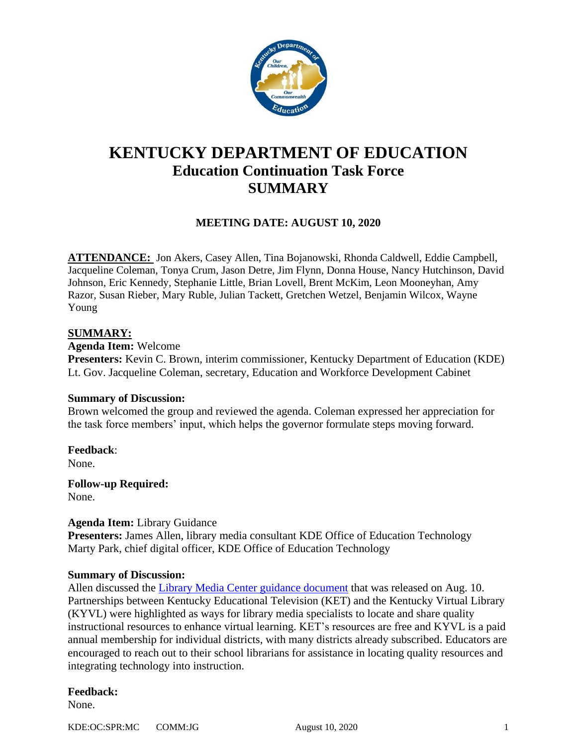

# **KENTUCKY DEPARTMENT OF EDUCATION Education Continuation Task Force SUMMARY**

# **MEETING DATE: AUGUST 10, 2020**

**ATTENDANCE:** Jon Akers, Casey Allen, Tina Bojanowski, Rhonda Caldwell, Eddie Campbell, Jacqueline Coleman, Tonya Crum, Jason Detre, Jim Flynn, Donna House, Nancy Hutchinson, David Johnson, Eric Kennedy, Stephanie Little, Brian Lovell, Brent McKim, Leon Mooneyhan, Amy Razor, Susan Rieber, Mary Ruble, Julian Tackett, Gretchen Wetzel, Benjamin Wilcox, Wayne Young

# **SUMMARY:**

**Agenda Item:** Welcome **Presenters:** Kevin C. Brown, interim commissioner, Kentucky Department of Education (KDE) Lt. Gov. Jacqueline Coleman, secretary, Education and Workforce Development Cabinet

### **Summary of Discussion:**

Brown welcomed the group and reviewed the agenda. Coleman expressed her appreciation for the task force members' input, which helps the governor formulate steps moving forward.

**Feedback**: None.

**Follow-up Required:** None.

### **Agenda Item:** Library Guidance

**Presenters:** James Allen, library media consultant KDE Office of Education Technology Marty Park, chief digital officer, KDE Office of Education Technology

### **Summary of Discussion:**

Allen discussed the [Library Media Center guidance document](https://education.ky.gov/comm/Documents/Library%20Media%20FINAL.pdf) that was released on Aug. 10. Partnerships between Kentucky Educational Television (KET) and the Kentucky Virtual Library (KYVL) were highlighted as ways for library media specialists to locate and share quality instructional resources to enhance virtual learning. KET's resources are free and KYVL is a paid annual membership for individual districts, with many districts already subscribed. Educators are encouraged to reach out to their school librarians for assistance in locating quality resources and integrating technology into instruction.

# **Feedback:**

None.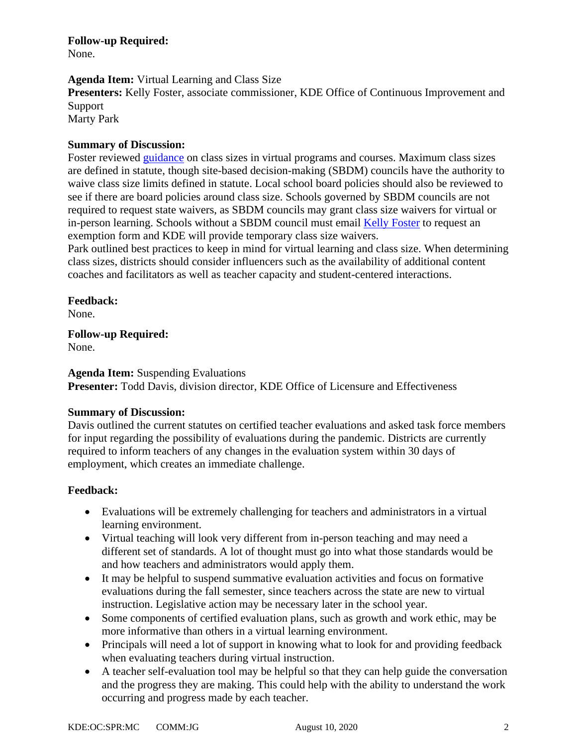**Follow-up Required:** None.

# **Agenda Item:** Virtual Learning and Class Size

**Presenters:** Kelly Foster, associate commissioner, KDE Office of Continuous Improvement and Support Marty Park

# **Summary of Discussion:**

Foster reviewed [guidance](https://education.ky.gov/comm/Documents/Virtual%20Learning%20and%20Class%20Size%20FINAL.pdf) on class sizes in virtual programs and courses. Maximum class sizes are defined in statute, though site-based decision-making (SBDM) councils have the authority to waive class size limits defined in statute. Local school board policies should also be reviewed to see if there are board policies around class size. Schools governed by SBDM councils are not required to request state waivers, as SBDM councils may grant class size waivers for virtual or in-person learning. Schools without a SBDM council must email [Kelly Foster](mailto:kelly.foster@education.ky.gov) to request an exemption form and KDE will provide temporary class size waivers.

Park outlined best practices to keep in mind for virtual learning and class size. When determining class sizes, districts should consider influencers such as the availability of additional content coaches and facilitators as well as teacher capacity and student-centered interactions.

# **Feedback:**

None.

**Follow-up Required:**

None.

**Agenda Item:** Suspending Evaluations

**Presenter:** Todd Davis, division director, KDE Office of Licensure and Effectiveness

### **Summary of Discussion:**

Davis outlined the current statutes on certified teacher evaluations and asked task force members for input regarding the possibility of evaluations during the pandemic. Districts are currently required to inform teachers of any changes in the evaluation system within 30 days of employment, which creates an immediate challenge.

# **Feedback:**

- Evaluations will be extremely challenging for teachers and administrators in a virtual learning environment.
- Virtual teaching will look very different from in-person teaching and may need a different set of standards. A lot of thought must go into what those standards would be and how teachers and administrators would apply them.
- It may be helpful to suspend summative evaluation activities and focus on formative evaluations during the fall semester, since teachers across the state are new to virtual instruction. Legislative action may be necessary later in the school year.
- Some components of certified evaluation plans, such as growth and work ethic, may be more informative than others in a virtual learning environment.
- Principals will need a lot of support in knowing what to look for and providing feedback when evaluating teachers during virtual instruction.
- A teacher self-evaluation tool may be helpful so that they can help guide the conversation and the progress they are making. This could help with the ability to understand the work occurring and progress made by each teacher.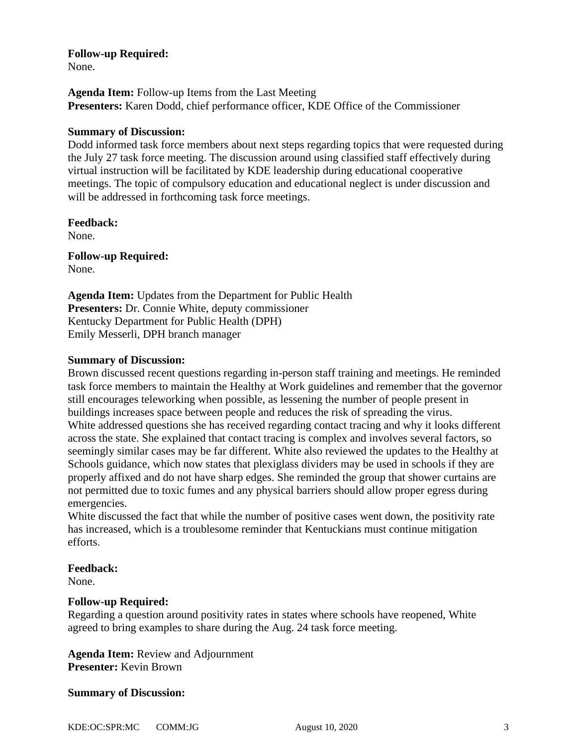## **Follow-up Required:**

None.

**Agenda Item:** Follow-up Items from the Last Meeting **Presenters:** Karen Dodd, chief performance officer, KDE Office of the Commissioner

# **Summary of Discussion:**

Dodd informed task force members about next steps regarding topics that were requested during the July 27 task force meeting. The discussion around using classified staff effectively during virtual instruction will be facilitated by KDE leadership during educational cooperative meetings. The topic of compulsory education and educational neglect is under discussion and will be addressed in forthcoming task force meetings.

**Feedback:** None.

**Follow-up Required:** None.

**Agenda Item:** Updates from the Department for Public Health **Presenters:** Dr. Connie White, deputy commissioner Kentucky Department for Public Health (DPH) Emily Messerli, DPH branch manager

# **Summary of Discussion:**

Brown discussed recent questions regarding in-person staff training and meetings. He reminded task force members to maintain the Healthy at Work guidelines and remember that the governor still encourages teleworking when possible, as lessening the number of people present in buildings increases space between people and reduces the risk of spreading the virus. White addressed questions she has received regarding contact tracing and why it looks different across the state. She explained that contact tracing is complex and involves several factors, so seemingly similar cases may be far different. White also reviewed the updates to the Healthy at Schools guidance, which now states that plexiglass dividers may be used in schools if they are properly affixed and do not have sharp edges. She reminded the group that shower curtains are not permitted due to toxic fumes and any physical barriers should allow proper egress during emergencies.

White discussed the fact that while the number of positive cases went down, the positivity rate has increased, which is a troublesome reminder that Kentuckians must continue mitigation efforts.

### **Feedback:**

None.

### **Follow-up Required:**

Regarding a question around positivity rates in states where schools have reopened, White agreed to bring examples to share during the Aug. 24 task force meeting.

**Agenda Item:** Review and Adjournment **Presenter:** Kevin Brown

### **Summary of Discussion:**

KDE:OC:SPR:MC COMM:JG August 10, 2020